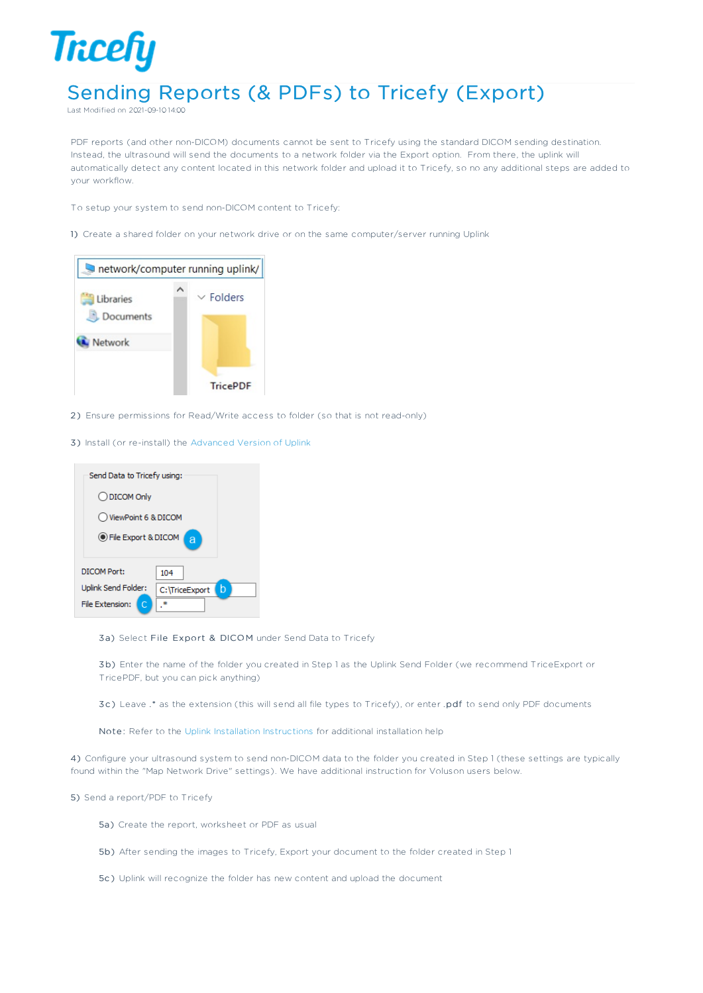## **Tricefy** Sending Reports (& PDFs) to Tricefy (Export)

Last Modified on 2021-09-10 14:00

PDF reports (and other non-DICOM) documents cannot be sent to Tricefy using the standard DICOM sending destination. Instead, the ultrasound will send the documents to a network folder via the Export option. From there, the uplink will automatically detect any content located in this network folder and upload it to Tricefy, so no any additional steps are added to your workflow.

- To setup your system to send non-DICOM content to Tricefy:
- 1) Create a shared folder on your network drive or on the same computer/server running Uplink



- 2 ) Ensure permissions for Read/Write access to folder (so that is not read-only)
- 3) Install (or re-install) the Advanced Version of Uplink

| Send Data to Tricefy using: |                     |  |
|-----------------------------|---------------------|--|
| ◯ DICOM Only                |                     |  |
| ◯ ViewPoint 6 & DICOM       |                     |  |
| ● File Export & DICOM<br>ă  |                     |  |
| DICOM Port:                 | 104                 |  |
| Uplink Send Folder:         | b<br>C:\TriceExport |  |
| File Extension:             |                     |  |

3a) Select File Export & DICOM under Send Data to Tricefy

3b) Enter the name of the folder you created in Step 1 as the Uplink Send Folder (we recommend TriceExport or TricePDF, but you can pick anything)

3c) Leave .\* as the extension (this will send all file types to Tricefy), or enter .pdf to send only PDF documents

Note: Refer to the Uplink Installation Instructions for additional installation help

4) Configure your ultrasound system to send non-DICOM data to the folder you created in Step 1 (these settings are typically found within the "Map Network Drive" settings). We have additional instruction for Voluson users below.

5) Send a report/PDF to Tricefy

- 5a) Create the report, worksheet or PDF as usual
- 5b) After sending the images to Tricefy, Export your document to the folder created in Step 1
- 5c ) Uplink will recognize the folder has new content and upload the document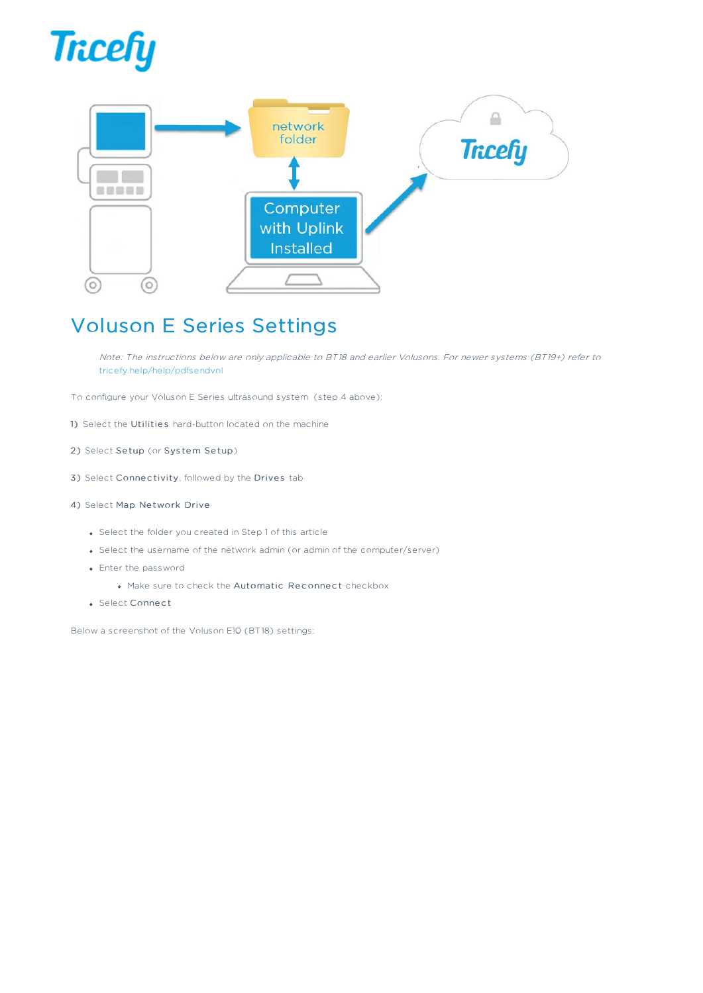



## Voluson E Series Settings

Note: The instructions below are only applicable to BT18 and earlier Volusons. For newer systems (BT19+) refer to tricefy.help/help/pdfsendvol

- To configure your Voluson E Series ultrasound system (step 4 above):
- 1) Select the Utilities hard-button located on the machine
- 2) Select Setup (or System Setup)
- 3) Select Connectivity, followed by the Drives tab
- 4) Select Map Network Drive
	- Select the folder you created in Step 1 of this article
	- Select the username of the network admin (or admin of the computer/server)
	- Enter the password
		- . Make sure to check the Automatic Reconnect checkbox
	- Select Connect

Below a screenshot of the Voluson E10 (BT18) settings: